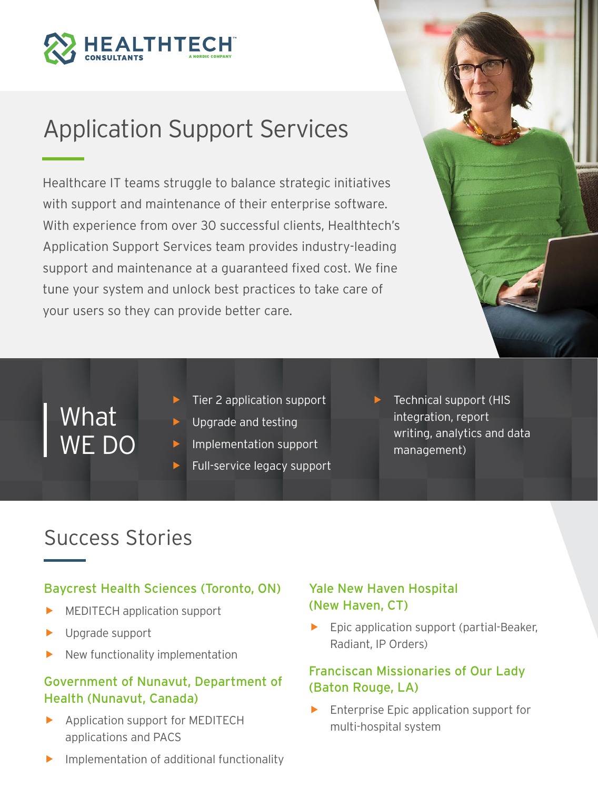

# Application Support Services

Healthcare IT teams struggle to balance strategic initiatives with support and maintenance of their enterprise software. With experience from over 30 successful clients, Healthtech's Application Support Services team provides industry-leading support and maintenance at a guaranteed fixed cost. We fine tune your system and unlock best practices to take care of your users so they can provide better care.



What WE DO

- Tier 2 application support
- Upgrade and testing
- f Implementation support
- Full-service legacy support
- $\blacktriangleright$  Technical support (HIS integration, report writing, analytics and data management)

### Success Stories

### Baycrest Health Sciences (Toronto, ON)

- MEDITECH application support
- Upgrade support
- New functionality implementation

### Government of Nunavut, Department of Health (Nunavut, Canada)

- $\blacktriangleright$  Application support for MEDITECH applications and PACS
- Implementation of additional functionality

### Yale New Haven Hospital (New Haven, CT)

 $\blacktriangleright$  Epic application support (partial-Beaker, Radiant, IP Orders)

### Franciscan Missionaries of Our Lady (Baton Rouge, LA)

Enterprise Epic application support for multi-hospital system